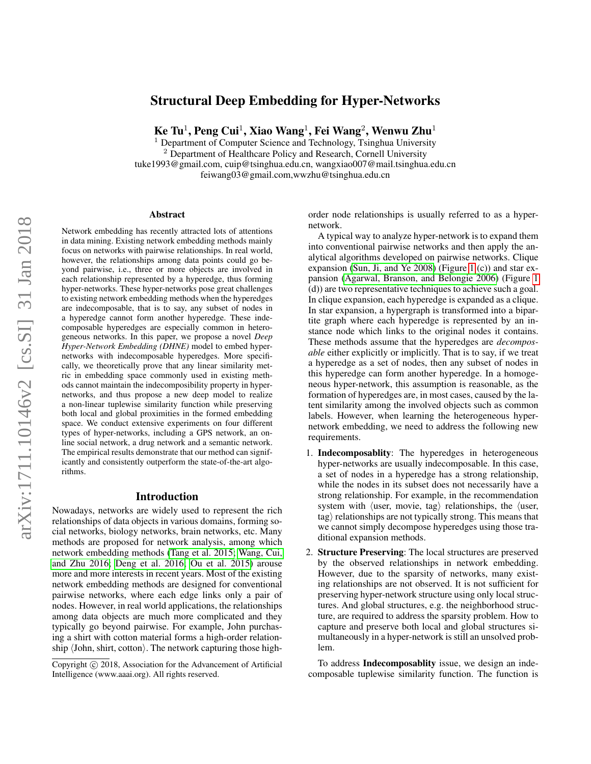# Structural Deep Embedding for Hyper-Networks

 $\rm\,Ke~Tu^{1},$   $\rm Peng~Cui^{1},$   $\rm{Xiao~Wang^{1}},$   $\rm Fei~Wang^{2},$   $\rm{Wenwu~Zhu^{1}}$ 

Department of Computer Science and Technology, Tsinghua University <sup>2</sup> Department of Healthcare Policy and Research, Cornell University tuke1993@gmail.com, cuip@tsinghua.edu.cn, wangxiao007@mail.tsinghua.edu.cn feiwang03@gmail.com,wwzhu@tsinghua.edu.cn

#### Abstract

Network embedding has recently attracted lots of attentions in data mining. Existing network embedding methods mainly focus on networks with pairwise relationships. In real world, however, the relationships among data points could go beyond pairwise, i.e., three or more objects are involved in each relationship represented by a hyperedge, thus forming hyper-networks. These hyper-networks pose great challenges to existing network embedding methods when the hyperedges are indecomposable, that is to say, any subset of nodes in a hyperedge cannot form another hyperedge. These indecomposable hyperedges are especially common in heterogeneous networks. In this paper, we propose a novel *Deep Hyper-Network Embedding (DHNE)* model to embed hypernetworks with indecomposable hyperedges. More specifically, we theoretically prove that any linear similarity metric in embedding space commonly used in existing methods cannot maintain the indecomposibility property in hypernetworks, and thus propose a new deep model to realize a non-linear tuplewise similarity function while preserving both local and global proximities in the formed embedding space. We conduct extensive experiments on four different types of hyper-networks, including a GPS network, an online social network, a drug network and a semantic network. The empirical results demonstrate that our method can significantly and consistently outperform the state-of-the-art algorithms.

### Introduction

Nowadays, networks are widely used to represent the rich relationships of data objects in various domains, forming social networks, biology networks, brain networks, etc. Many methods are proposed for network analysis, among which network embedding methods [\(Tang et al. 2015;](#page-7-0) [Wang, Cui,](#page-8-0) [and Zhu 2016;](#page-8-0) [Deng et al. 2016;](#page-7-1) [Ou et al. 2015\)](#page-7-2) arouse more and more interests in recent years. Most of the existing network embedding methods are designed for conventional pairwise networks, where each edge links only a pair of nodes. However, in real world applications, the relationships among data objects are much more complicated and they typically go beyond pairwise. For example, John purchasing a shirt with cotton material forms a high-order relationship  $\langle$  John, shirt, cotton $\rangle$ . The network capturing those highorder node relationships is usually referred to as a hypernetwork.

A typical way to analyze hyper-network is to expand them into conventional pairwise networks and then apply the analytical algorithms developed on pairwise networks. Clique expansion [\(Sun, Ji, and Ye 2008\)](#page-7-3) (Figure [1](#page-1-0) (c)) and star expansion [\(Agarwal, Branson, and Belongie 2006\)](#page-7-4) (Figure [1](#page-1-0) (d)) are two representative techniques to achieve such a goal. In clique expansion, each hyperedge is expanded as a clique. In star expansion, a hypergraph is transformed into a bipartite graph where each hyperedge is represented by an instance node which links to the original nodes it contains. These methods assume that the hyperedges are *decomposable* either explicitly or implicitly. That is to say, if we treat a hyperedge as a set of nodes, then any subset of nodes in this hyperedge can form another hyperedge. In a homogeneous hyper-network, this assumption is reasonable, as the formation of hyperedges are, in most cases, caused by the latent similarity among the involved objects such as common labels. However, when learning the heterogeneous hypernetwork embedding, we need to address the following new requirements.

- 1. Indecomposablity: The hyperedges in heterogeneous hyper-networks are usually indecomposable. In this case, a set of nodes in a hyperedge has a strong relationship, while the nodes in its subset does not necessarily have a strong relationship. For example, in the recommendation system with  $\langle$ user, movie, tag $\rangle$  relationships, the  $\langle$ user,  $tag$ ) relationships are not typically strong. This means that we cannot simply decompose hyperedges using those traditional expansion methods.
- 2. Structure Preserving: The local structures are preserved by the observed relationships in network embedding. However, due to the sparsity of networks, many existing relationships are not observed. It is not sufficient for preserving hyper-network structure using only local structures. And global structures, e.g. the neighborhood structure, are required to address the sparsity problem. How to capture and preserve both local and global structures simultaneously in a hyper-network is still an unsolved problem.

To address Indecomposablity issue, we design an indecomposable tuplewise similarity function. The function is

Copyright (c) 2018, Association for the Advancement of Artificial Intelligence (www.aaai.org). All rights reserved.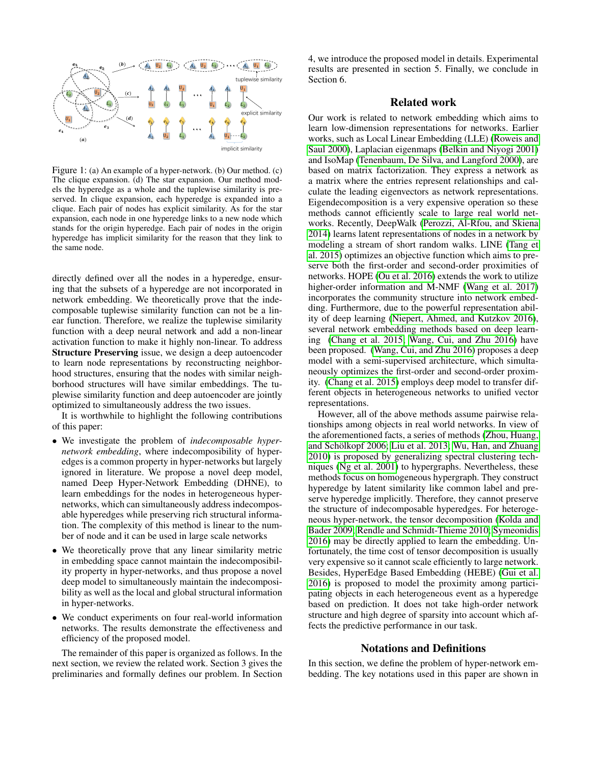<span id="page-1-0"></span>

Figure 1: (a) An example of a hyper-network. (b) Our method. (c) The clique expansion. (d) The star expansion. Our method models the hyperedge as a whole and the tuplewise similarity is preserved. In clique expansion, each hyperedge is expanded into a clique. Each pair of nodes has explicit similarity. As for the star expansion, each node in one hyperedge links to a new node which stands for the origin hyperedge. Each pair of nodes in the origin hyperedge has implicit similarity for the reason that they link to the same node.

directly defined over all the nodes in a hyperedge, ensuring that the subsets of a hyperedge are not incorporated in network embedding. We theoretically prove that the indecomposable tuplewise similarity function can not be a linear function. Therefore, we realize the tuplewise similarity function with a deep neural network and add a non-linear activation function to make it highly non-linear. To address Structure Preserving issue, we design a deep autoencoder to learn node representations by reconstructing neighborhood structures, ensuring that the nodes with similar neighborhood structures will have similar embeddings. The tuplewise similarity function and deep autoencoder are jointly optimized to simultaneously address the two issues.

It is worthwhile to highlight the following contributions of this paper:

- We investigate the problem of *indecomposable hypernetwork embedding*, where indecomposibility of hyperedges is a common property in hyper-networks but largely ignored in literature. We propose a novel deep model, named Deep Hyper-Network Embedding (DHNE), to learn embeddings for the nodes in heterogeneous hypernetworks, which can simultaneously address indecomposable hyperedges while preserving rich structural information. The complexity of this method is linear to the number of node and it can be used in large scale networks
- We theoretically prove that any linear similarity metric in embedding space cannot maintain the indecomposibility property in hyper-networks, and thus propose a novel deep model to simultaneously maintain the indecomposibility as well as the local and global structural information in hyper-networks.
- We conduct experiments on four real-world information networks. The results demonstrate the effectiveness and efficiency of the proposed model.

The remainder of this paper is organized as follows. In the next section, we review the related work. Section 3 gives the preliminaries and formally defines our problem. In Section

4, we introduce the proposed model in details. Experimental results are presented in section 5. Finally, we conclude in Section 6.

# Related work

Our work is related to network embedding which aims to learn low-dimension representations for networks. Earlier works, such as Local Linear Embedding (LLE) [\(Roweis and](#page-7-5) [Saul 2000\)](#page-7-5), Laplacian eigenmaps [\(Belkin and Niyogi 2001\)](#page-7-6) and IsoMap [\(Tenenbaum, De Silva, and Langford 2000\)](#page-7-7), are based on matrix factorization. They express a network as a matrix where the entries represent relationships and calculate the leading eigenvectors as network representations. Eigendecomposition is a very expensive operation so these methods cannot efficiently scale to large real world networks. Recently, DeepWalk [\(Perozzi, Al-Rfou, and Skiena](#page-7-8) [2014\)](#page-7-8) learns latent representations of nodes in a network by modeling a stream of short random walks. LINE [\(Tang et](#page-7-0) [al. 2015\)](#page-7-0) optimizes an objective function which aims to preserve both the first-order and second-order proximities of networks. HOPE [\(Ou et al. 2016\)](#page-7-9) extends the work to utilize higher-order information and M-NMF [\(Wang et al. 2017\)](#page-7-10) incorporates the community structure into network embedding. Furthermore, due to the powerful representation ability of deep learning [\(Niepert, Ahmed, and Kutzkov 2016\)](#page-7-11), several network embedding methods based on deep learning [\(Chang et al. 2015;](#page-7-12) [Wang, Cui, and Zhu 2016\)](#page-8-0) have been proposed. [\(Wang, Cui, and Zhu 2016\)](#page-8-0) proposes a deep model with a semi-supervised architecture, which simultaneously optimizes the first-order and second-order proximity. [\(Chang et al. 2015\)](#page-7-12) employs deep model to transfer different objects in heterogeneous networks to unified vector representations.

However, all of the above methods assume pairwise relationships among objects in real world networks. In view of the aforementioned facts, a series of methods [\(Zhou, Huang,](#page-8-1) and Schölkopf 2006; [Liu et al. 2013;](#page-7-13) [Wu, Han, and Zhuang](#page-8-2) [2010\)](#page-8-2) is proposed by generalizing spectral clustering techniques [\(Ng et al. 2001\)](#page-7-14) to hypergraphs. Nevertheless, these methods focus on homogeneous hypergraph. They construct hyperedge by latent similarity like common label and preserve hyperedge implicitly. Therefore, they cannot preserve the structure of indecomposable hyperedges. For heterogeneous hyper-network, the tensor decomposition [\(Kolda and](#page-7-15) [Bader 2009;](#page-7-15) [Rendle and Schmidt-Thieme 2010;](#page-7-16) [Symeonidis](#page-7-17) [2016\)](#page-7-17) may be directly applied to learn the embedding. Unfortunately, the time cost of tensor decomposition is usually very expensive so it cannot scale efficiently to large network. Besides, HyperEdge Based Embedding (HEBE) [\(Gui et al.](#page-7-18) [2016\)](#page-7-18) is proposed to model the proximity among participating objects in each heterogeneous event as a hyperedge based on prediction. It does not take high-order network structure and high degree of sparsity into account which affects the predictive performance in our task.

#### Notations and Definitions

In this section, we define the problem of hyper-network embedding. The key notations used in this paper are shown in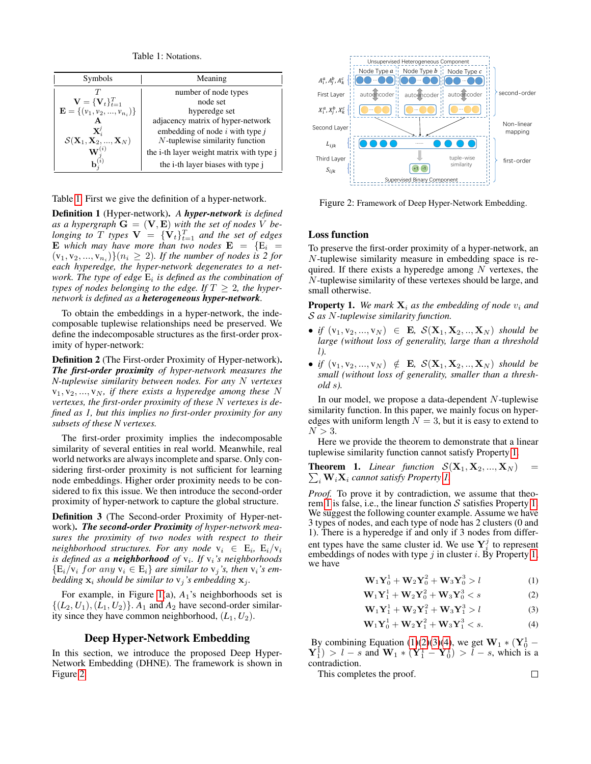Table 1: Notations.

<span id="page-2-0"></span>

| Symbols                                                                                | Meaning                                  |
|----------------------------------------------------------------------------------------|------------------------------------------|
|                                                                                        | number of node types                     |
| $\mathbf{V} = {\mathbf{V}_t}_{t=1}^T$<br>$\mathbf{E} = {\mathbf{v}_1, v_2, , v_{n_i}}$ | node set                                 |
|                                                                                        | hyperedge set                            |
|                                                                                        | adjacency matrix of hyper-network        |
| $\mathbf{X}_i^{\jmath}$                                                                | embedding of node $i$ with type $j$      |
|                                                                                        | N-tuplewise similarity function          |
| $\mathcal{S}(\mathbf{X}_1, \mathbf{X}_2, , \mathbf{X}_N) \ \mathbf{W}^{(i)}$           | the i-th layer weight matrix with type j |
|                                                                                        | the i-th layer biases with type j        |

Table [1.](#page-2-0) First we give the definition of a hyper-network.

Definition 1 (Hyper-network). *A hyper-network is defined* as a hypergraph  $\mathbf{G} = (\mathbf{V}, \mathbf{E})$  with the set of nodes V be*longing to*  $T$  *types*  $V = \{V_t\}_{t=1}^T$  *and the set of edges* **E** which may have more than two nodes  $\mathbf{E} = \{E_i =$  $(v_1, v_2, ..., v_{n_i})\}(n_i \geq 2)$ . If the number of nodes is 2 for *each hyperedge, the hyper-network degenerates to a network. The type of edge* E<sup>i</sup> *is defined as the combination of types of nodes belonging to the edge. If*  $T > 2$ *, the hypernetwork is defined as a heterogeneous hyper-network.*

To obtain the embeddings in a hyper-network, the indecomposable tuplewise relationships need be preserved. We define the indecomposable structures as the first-order proximity of hyper-network:

Definition 2 (The First-order Proximity of Hyper-network). *The first-order proximity of hyper-network measures the N-tuplewise similarity between nodes. For any* N *vertexes*  $v_1, v_2, ..., v_N$ , if there exists a hyperedge among these N *vertexes, the first-order proximity of these* N *vertexes is defined as 1, but this implies no first-order proximity for any subsets of these N vertexes.*

The first-order proximity implies the indecomposable similarity of several entities in real world. Meanwhile, real world networks are always incomplete and sparse. Only considering first-order proximity is not sufficient for learning node embeddings. Higher order proximity needs to be considered to fix this issue. We then introduce the second-order proximity of hyper-network to capture the global structure.

Definition 3 (The Second-order Proximity of Hyper-network). *The second-order Proximity of hyper-network measures the proximity of two nodes with respect to their neighborhood structures. For any node*  $v_i \in E_i$ ,  $E_i/v_i$ is defined as a **neighborhood** of  $v_i$ . If  $v_i$ 's neighborhoods  ${E_i/v_i}$  *for any*  $v_i \in E_i$  *are similar to*  $v_j$ *'s, then*  $v_i$ *'s embedding*  $\mathbf{x}_i$  *should be similar to*  $v_j$ *'s embedding*  $\mathbf{x}_j$ *.* 

For example, in Figure [1\(](#page-1-0)a),  $A_1$ 's neighborhoods set is  $\{(L_2, U_1), (L_1, U_2)\}\$ .  $A_1$  and  $A_2$  have second-order similarity since they have common neighborhood,  $(L_1, U_2)$ .

# Deep Hyper-Network Embedding

In this section, we introduce the proposed Deep Hyper-Network Embedding (DHNE). The framework is shown in Figure [2.](#page-2-1)

<span id="page-2-1"></span>

Figure 2: Framework of Deep Hyper-Network Embedding.

# Loss function

To preserve the first-order proximity of a hyper-network, an N-tuplewise similarity measure in embedding space is required. If there exists a hyperedge among  $N$  vertexes, the N-tuplewise similarity of these vertexes should be large, and small otherwise.

<span id="page-2-2"></span>**Property 1.** We mark  $X_i$  as the embedding of node  $v_i$  and S *as* N*-tuplewise similarity function.*

- *if*  $(v_1, v_2, ..., v_N) \in E$ ,  $S(X_1, X_2, ..., X_N)$  *should be large (without loss of generality, large than a threshold* l*).*
- *if*  $(v_1, v_2, ..., v_N) \notin$  **E**,  $\mathcal{S}(\mathbf{X}_1, \mathbf{X}_2, ..., \mathbf{X}_N)$  *should be small (without loss of generality, smaller than a threshold* s*).*

In our model, we propose a data-dependent N-tuplewise similarity function. In this paper, we mainly focus on hyperedges with uniform length  $N = 3$ , but it is easy to extend to  $N > 3$ .

Here we provide the theorem to demonstrate that a linear tuplewise similarity function cannot satisfy Property [1.](#page-2-2)

<span id="page-2-3"></span> $\sum_i \mathbf{W}_i \mathbf{X}_i$  cannot satisfy Property [1.](#page-2-2) **Theorem 1.** *Linear function*  $S(\mathbf{X}_1, \mathbf{X}_2, ..., \mathbf{X}_N)$ 

*Proof.* To prove it by contradiction, we assume that theo-rem [1](#page-2-3) is false, i.e., the linear function  $S$  satisfies Property [1.](#page-2-2) We suggest the following counter example. Assume we have 3 types of nodes, and each type of node has 2 clusters (0 and 1). There is a hyperedge if and only if 3 nodes from different types have the same cluster id. We use  $Y_i^j$  to represent embeddings of nodes with type  $j$  in cluster  $i$ . By Property [1,](#page-2-2) we have

$$
\mathbf{W}_1 \mathbf{Y}_0^1 + \mathbf{W}_2 \mathbf{Y}_0^2 + \mathbf{W}_3 \mathbf{Y}_0^3 > l \tag{1}
$$

$$
\mathbf{W}_1 \mathbf{Y}_1^1 + \mathbf{W}_2 \mathbf{Y}_0^2 + \mathbf{W}_3 \mathbf{Y}_0^3 < s \tag{2}
$$

$$
\mathbf{W}_1 \mathbf{Y}_1^1 + \mathbf{W}_2 \mathbf{Y}_1^2 + \mathbf{W}_3 \mathbf{Y}_1^3 > l \tag{3}
$$

$$
\mathbf{W}_1 \mathbf{Y}_0^1 + \mathbf{W}_2 \mathbf{Y}_1^2 + \mathbf{W}_3 \mathbf{Y}_1^3 < s. \tag{4}
$$

By combining Equation [\(1\)](#page-2-4)[\(2\)](#page-2-5)[\(3\)](#page-2-6)[\(4\)](#page-2-7), we get  $W_1 * (Y_0^1 (\mathbf{Y}_1^{\mathbf{i}}) > l - s$  and  $\mathbf{W}_1 * (\mathbf{Y}_1^{\mathbf{i}} - \mathbf{Y}_0^{\mathbf{i}}) > l - s$ , which is a contradiction.

This completes the proof.

<span id="page-2-7"></span><span id="page-2-6"></span><span id="page-2-5"></span><span id="page-2-4"></span> $\Box$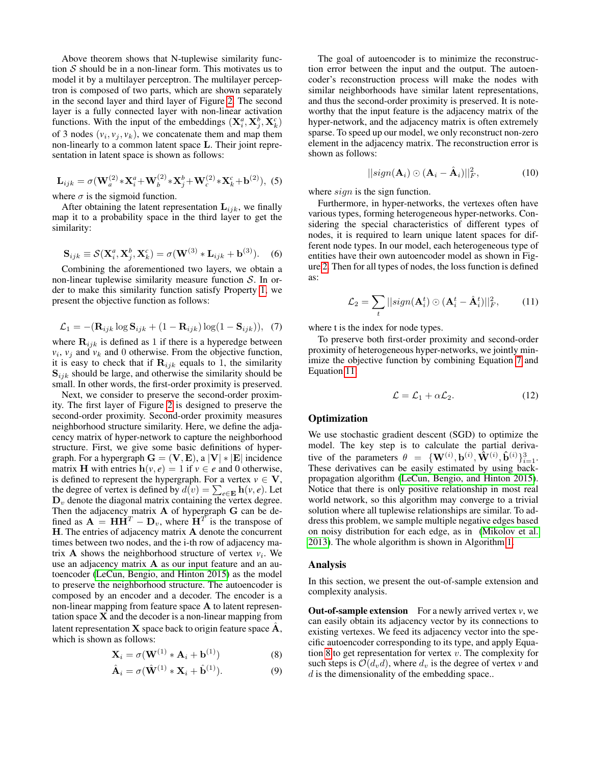Above theorem shows that N-tuplewise similarity function  $S$  should be in a non-linear form. This motivates us to model it by a multilayer perceptron. The multilayer perceptron is composed of two parts, which are shown separately in the second layer and third layer of Figure [2.](#page-2-1) The second layer is a fully connected layer with non-linear activation functions. With the input of the embeddings  $(X_i^a, X_j^b, X_k^c)$ of 3 nodes  $(v_i, v_j, v_k)$ , we concatenate them and map them non-linearly to a common latent space L. Their joint representation in latent space is shown as follows:

$$
\mathbf{L}_{ijk} = \sigma(\mathbf{W}_a^{(2)} * \mathbf{X}_i^a + \mathbf{W}_b^{(2)} * \mathbf{X}_j^b + \mathbf{W}_c^{(2)} * \mathbf{X}_k^c + \mathbf{b}^{(2)}),
$$
 (5)

where  $\sigma$  is the sigmoid function.

After obtaining the latent representation  $L_{ijk}$ , we finally map it to a probability space in the third layer to get the similarity:

$$
\mathbf{S}_{ijk} \equiv \mathcal{S}(\mathbf{X}_i^a, \mathbf{X}_j^b, \mathbf{X}_k^c) = \sigma(\mathbf{W}^{(3)} * \mathbf{L}_{ijk} + \mathbf{b}^{(3)}).
$$
 (6)

Combining the aforementioned two layers, we obtain a non-linear tuplewise similarity measure function  $S$ . In order to make this similarity function satisfy Property [1,](#page-2-2) we present the objective function as follows:

<span id="page-3-0"></span>
$$
\mathcal{L}_1 = -(\mathbf{R}_{ijk} \log \mathbf{S}_{ijk} + (1 - \mathbf{R}_{ijk}) \log(1 - \mathbf{S}_{ijk})), \tag{7}
$$

where  $\mathbf{R}_{ijk}$  is defined as 1 if there is a hyperedge between  $v_i$ ,  $v_j$  and  $v_k$  and 0 otherwise. From the objective function, it is easy to check that if  $\mathbf{R}_{ijk}$  equals to 1, the similarity  $S_{ijk}$  should be large, and otherwise the similarity should be small. In other words, the first-order proximity is preserved.

Next, we consider to preserve the second-order proximity. The first layer of Figure [2](#page-2-1) is designed to preserve the second-order proximity. Second-order proximity measures neighborhood structure similarity. Here, we define the adjacency matrix of hyper-network to capture the neighborhood structure. First, we give some basic definitions of hypergraph. For a hypergraph  $\mathbf{G} = (\mathbf{V}, \mathbf{E})$ , a  $|\mathbf{V}| * |\mathbf{E}|$  incidence matrix **H** with entries  $h(v, e) = 1$  if  $v \in e$  and 0 otherwise, is defined to represent the hypergraph. For a vertex  $v \in V$ , the degree of vertex is defined by  $d(v) = \sum_{e \in \mathbf{E}} \mathbf{h}(v, e)$ . Let  $D<sub>v</sub>$  denote the diagonal matrix containing the vertex degree. Then the adjacency matrix **A** of hypergraph **G** can be defined as  $\mathbf{A} = \mathbf{H}\mathbf{H}^T - \mathbf{D}_v$ , where  $\mathbf{H}^T$  is the transpose of H. The entries of adjacency matrix A denote the concurrent times between two nodes, and the i-th row of adjacency matrix **A** shows the neighborhood structure of vertex  $v_i$ . We use an adjacency matrix A as our input feature and an autoencoder [\(LeCun, Bengio, and Hinton 2015\)](#page-7-19) as the model to preserve the neighborhood structure. The autoencoder is composed by an encoder and a decoder. The encoder is a non-linear mapping from feature space A to latent representation space  $X$  and the decoder is a non-linear mapping from latent representation  $X$  space back to origin feature space  $A$ , which is shown as follows:

$$
\mathbf{X}_{i} = \sigma(\mathbf{W}^{(1)} * \mathbf{A}_{i} + \mathbf{b}^{(1)})
$$
(8)

$$
\hat{\mathbf{A}}_i = \sigma(\hat{\mathbf{W}}^{(1)} * \mathbf{X}_i + \hat{\mathbf{b}}^{(1)}).
$$
 (9)

The goal of autoencoder is to minimize the reconstruction error between the input and the output. The autoencoder's reconstruction process will make the nodes with similar neighborhoods have similar latent representations, and thus the second-order proximity is preserved. It is noteworthy that the input feature is the adjacency matrix of the hyper-network, and the adjacency matrix is often extremely sparse. To speed up our model, we only reconstruct non-zero element in the adjacency matrix. The reconstruction error is shown as follows:

$$
||sign(\mathbf{A}_i) \odot (\mathbf{A}_i - \hat{\mathbf{A}}_i)||_F^2, \tag{10}
$$

where *sign* is the sign function.

Furthermore, in hyper-networks, the vertexes often have various types, forming heterogeneous hyper-networks. Considering the special characteristics of different types of nodes, it is required to learn unique latent spaces for different node types. In our model, each heterogeneous type of entities have their own autoencoder model as shown in Figure [2.](#page-2-1) Then for all types of nodes, the loss function is defined as:

<span id="page-3-1"></span>
$$
\mathcal{L}_2 = \sum_t ||sign(\mathbf{A}_i^t) \odot (\mathbf{A}_i^t - \hat{\mathbf{A}}_i^t)||_F^2, \quad (11)
$$

where t is the index for node types.

To preserve both first-order proximity and second-order proximity of heterogeneous hyper-networks, we jointly minimize the objective function by combining Equation [7](#page-3-0) and Equation [11:](#page-3-1)

$$
\mathcal{L} = \mathcal{L}_1 + \alpha \mathcal{L}_2. \tag{12}
$$

# **Optimization**

We use stochastic gradient descent (SGD) to optimize the model. The key step is to calculate the partial derivative of the parameters  $\theta = {\mathbf{W}}^{(i)}, \mathbf{b}^{(i)}, \mathbf{\tilde{W}}^{(i)}, \mathbf{\hat{b}}^{(i)}\}_{i=1}^{3}$ . These derivatives can be easily estimated by using backpropagation algorithm [\(LeCun, Bengio, and Hinton 2015\)](#page-7-19). Notice that there is only positive relationship in most real world network, so this algorithm may converge to a trivial solution where all tuplewise relationships are similar. To address this problem, we sample multiple negative edges based on noisy distribution for each edge, as in [\(Mikolov et al.](#page-7-20) [2013\)](#page-7-20). The whole algorithm is shown in Algorithm [1.](#page-4-0)

#### Analysis

In this section, we present the out-of-sample extension and complexity analysis.

<span id="page-3-2"></span>**Out-of-sample extension** For a newly arrived vertex  $v$ , we can easily obtain its adjacency vector by its connections to existing vertexes. We feed its adjacency vector into the specific autoencoder corresponding to its type, and apply Equa-tion [8](#page-3-2) to get representation for vertex  $v$ . The complexity for such steps is  $\mathcal{O}(d_v d)$ , where  $d_v$  is the degree of vertex  $v$  and  $d$  is the dimensionality of the embedding space..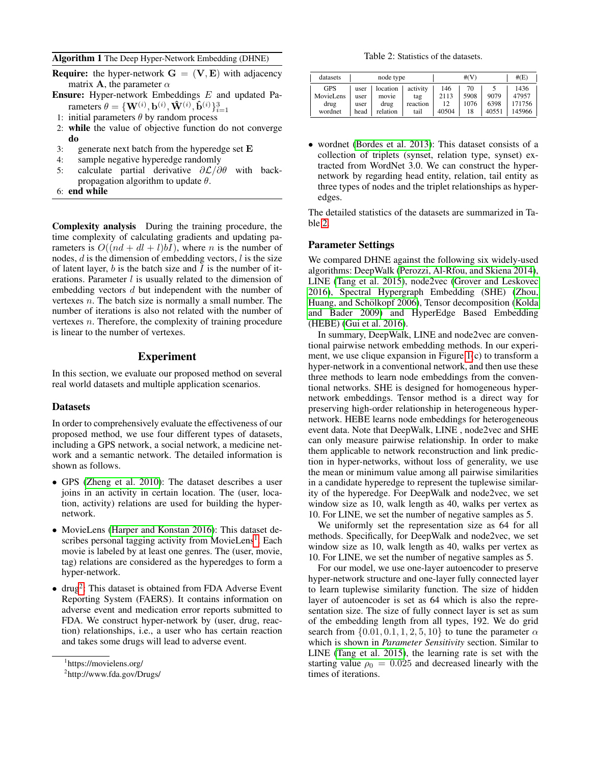#### <span id="page-4-0"></span>Algorithm 1 The Deep Hyper-Network Embedding (DHNE)

| <b>Require:</b> the hyper-network $G = (V, E)$ with adjacency |  |  |
|---------------------------------------------------------------|--|--|
| matrix <b>A</b> , the parameter $\alpha$                      |  |  |

Ensure: Hyper-network Embeddings E and updated Parameters  $\theta = \{\mathbf{W}^{(i)}, \mathbf{b}^{(i)}, \mathbf{\hat{W}}^{(i)}, \mathbf{\hat{b}}^{(i)}\}_{i=1}^{3}$ 

- 1: initial parameters  $\theta$  by random process
- 2: while the value of objective function do not converge do
- 3: generate next batch from the hyperedge set E
- 4: sample negative hyperedge randomly
- 5: calculate partial derivative  $\partial \mathcal{L}/\partial \theta$  with backpropagation algorithm to update  $\theta$ .
- 6: end while

Complexity analysis During the training procedure, the time complexity of calculating gradients and updating parameters is  $O((nd + dl + l)bI)$ , where *n* is the number of nodes,  $d$  is the dimension of embedding vectors,  $l$  is the size of latent layer,  $b$  is the batch size and  $I$  is the number of iterations. Parameter  $l$  is usually related to the dimension of embedding vectors d but independent with the number of vertexes  $n$ . The batch size is normally a small number. The number of iterations is also not related with the number of vertexes n. Therefore, the complexity of training procedure is linear to the number of vertexes.

# Experiment

In this section, we evaluate our proposed method on several real world datasets and multiple application scenarios.

#### **Datasets**

In order to comprehensively evaluate the effectiveness of our proposed method, we use four different types of datasets, including a GPS network, a social network, a medicine network and a semantic network. The detailed information is shown as follows.

- GPS [\(Zheng et al. 2010\)](#page-8-3): The dataset describes a user joins in an activity in certain location. The (user, location, activity) relations are used for building the hypernetwork.
- MovieLens [\(Harper and Konstan 2016\)](#page-7-21): This dataset de-scribes personal tagging activity from MovieLens<sup>[1](#page-4-1)</sup>. Each movie is labeled by at least one genres. The (user, movie, tag) relations are considered as the hyperedges to form a hyper-network.
- $\bullet$  drug<sup>[2](#page-4-2)</sup>: This dataset is obtained from FDA Adverse Event Reporting System (FAERS). It contains information on adverse event and medication error reports submitted to FDA. We construct hyper-network by (user, drug, reaction) relationships, i.e., a user who has certain reaction and takes some drugs will lead to adverse event.

Table 2: Statistics of the datasets.

<span id="page-4-3"></span>

| datasets   | node type |          |          | #(V)  |      |       | #(E)   |
|------------|-----------|----------|----------|-------|------|-------|--------|
| <b>GPS</b> | user      | location | activity | 146   | 70   | 9079  | 1436   |
| Moviel ens | user      | movie    | tag      | 2113  | 5908 |       | 47957  |
| drug       | user      | drug     | reaction | 12    | 1076 | 6398  | 171756 |
| wordnet    | head      | relation | tail     | 40504 | 18   | 40551 | 145966 |

• wordnet [\(Bordes et al. 2013\)](#page-7-22): This dataset consists of a collection of triplets (synset, relation type, synset) extracted from WordNet 3.0. We can construct the hypernetwork by regarding head entity, relation, tail entity as three types of nodes and the triplet relationships as hyperedges.

The detailed statistics of the datasets are summarized in Table [2.](#page-4-3)

#### Parameter Settings

We compared DHNE against the following six widely-used algorithms: DeepWalk [\(Perozzi, Al-Rfou, and Skiena 2014\)](#page-7-8), LINE [\(Tang et al. 2015\)](#page-7-0), node2vec [\(Grover and Leskovec](#page-7-23) [2016\)](#page-7-23), Spectral Hypergraph Embedding (SHE) [\(Zhou,](#page-8-1) Huang, and Schölkopf 2006), Tensor decomposition [\(Kolda](#page-7-15) [and Bader 2009\)](#page-7-15) and HyperEdge Based Embedding (HEBE) [\(Gui et al. 2016\)](#page-7-18).

In summary, DeepWalk, LINE and node2vec are conventional pairwise network embedding methods. In our experiment, we use clique expansion in Figure [1\(](#page-1-0)c) to transform a hyper-network in a conventional network, and then use these three methods to learn node embeddings from the conventional networks. SHE is designed for homogeneous hypernetwork embeddings. Tensor method is a direct way for preserving high-order relationship in heterogeneous hypernetwork. HEBE learns node embeddings for heterogeneous event data. Note that DeepWalk, LINE , node2vec and SHE can only measure pairwise relationship. In order to make them applicable to network reconstruction and link prediction in hyper-networks, without loss of generality, we use the mean or minimum value among all pairwise similarities in a candidate hyperedge to represent the tuplewise similarity of the hyperedge. For DeepWalk and node2vec, we set window size as 10, walk length as 40, walks per vertex as 10. For LINE, we set the number of negative samples as 5.

We uniformly set the representation size as 64 for all methods. Specifically, for DeepWalk and node2vec, we set window size as 10, walk length as 40, walks per vertex as 10. For LINE, we set the number of negative samples as 5.

For our model, we use one-layer autoencoder to preserve hyper-network structure and one-layer fully connected layer to learn tuplewise similarity function. The size of hidden layer of autoencoder is set as 64 which is also the representation size. The size of fully connect layer is set as sum of the embedding length from all types, 192. We do grid search from  $\{0.01, 0.1, 1, 2, 5, 10\}$  to tune the parameter  $\alpha$ which is shown in *Parameter Sensitivity* section. Similar to LINE [\(Tang et al. 2015\)](#page-7-0), the learning rate is set with the starting value  $\rho_0 = 0.025$  and decreased linearly with the times of iterations.

<span id="page-4-1"></span><sup>1</sup> https://movielens.org/

<span id="page-4-2"></span><sup>2</sup> http://www.fda.gov/Drugs/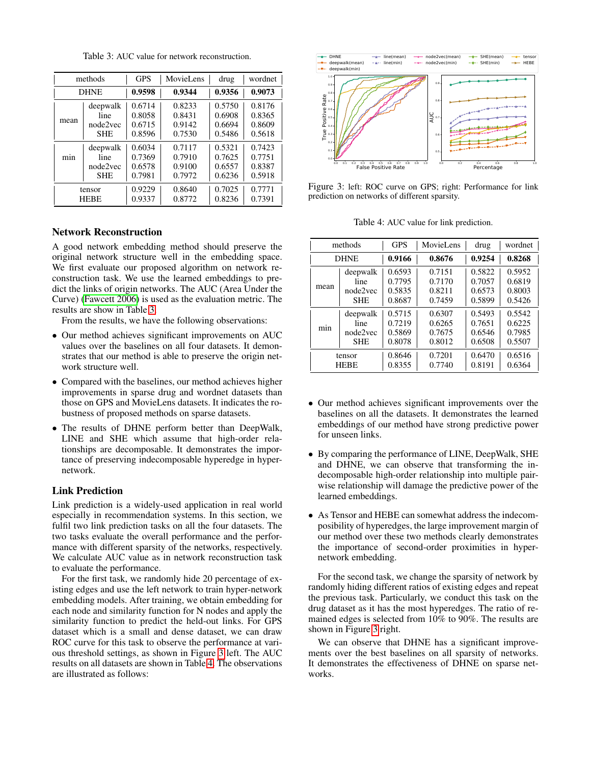Table 3: AUC value for network reconstruction.

<span id="page-5-0"></span>

|      | methods     | <b>GPS</b> | MovieLens | drug   | wordnet |
|------|-------------|------------|-----------|--------|---------|
|      | <b>DHNE</b> | 0.9598     | 0.9344    | 0.9356 | 0.9073  |
| mean | deepwalk    | 0.6714     | 0.8233    | 0.5750 | 0.8176  |
|      | line        | 0.8058     | 0.8431    | 0.6908 | 0.8365  |
|      | node2vec    | 0.6715     | 0.9142    | 0.6694 | 0.8609  |
|      | <b>SHE</b>  | 0.8596     | 0.7530    | 0.5486 | 0.5618  |
| min  | deepwalk    | 0.6034     | 0.7117    | 0.5321 | 0.7423  |
|      | line        | 0.7369     | 0.7910    | 0.7625 | 0.7751  |
|      | node2yec    | 0.6578     | 0.9100    | 0.6557 | 0.8387  |
|      | <b>SHE</b>  | 0.7981     | 0.7972    | 0.6236 | 0.5918  |
|      | tensor      | 0.9229     | 0.8640    | 0.7025 | 0.7771  |
|      | <b>HEBE</b> | 0.9337     | 0.8772    | 0.8236 | 0.7391  |

# Network Reconstruction

A good network embedding method should preserve the original network structure well in the embedding space. We first evaluate our proposed algorithm on network reconstruction task. We use the learned embeddings to predict the links of origin networks. The AUC (Area Under the Curve) [\(Fawcett 2006\)](#page-7-24) is used as the evaluation metric. The results are show in Table [3.](#page-5-0)

From the results, we have the following observations:

- Our method achieves significant improvements on AUC values over the baselines on all four datasets. It demonstrates that our method is able to preserve the origin network structure well.
- Compared with the baselines, our method achieves higher improvements in sparse drug and wordnet datasets than those on GPS and MovieLens datasets. It indicates the robustness of proposed methods on sparse datasets.
- The results of DHNE perform better than DeepWalk, LINE and SHE which assume that high-order relationships are decomposable. It demonstrates the importance of preserving indecomposable hyperedge in hypernetwork.

#### Link Prediction

Link prediction is a widely-used application in real world especially in recommendation systems. In this section, we fulfil two link prediction tasks on all the four datasets. The two tasks evaluate the overall performance and the performance with different sparsity of the networks, respectively. We calculate AUC value as in network reconstruction task to evaluate the performance.

For the first task, we randomly hide 20 percentage of existing edges and use the left network to train hyper-network embedding models. After training, we obtain embedding for each node and similarity function for N nodes and apply the similarity function to predict the held-out links. For GPS dataset which is a small and dense dataset, we can draw ROC curve for this task to observe the performance at various threshold settings, as shown in Figure [3](#page-5-1) left. The AUC results on all datasets are shown in Table [4.](#page-5-2) The observations are illustrated as follows:

<span id="page-5-1"></span>

Figure 3: left: ROC curve on GPS; right: Performance for link prediction on networks of different sparsity.

Table 4: AUC value for link prediction.

<span id="page-5-2"></span>

| methods     |             | <b>GPS</b> | MovieLens | drug   | wordnet |
|-------------|-------------|------------|-----------|--------|---------|
| <b>DHNE</b> |             | 0.9166     | 0.8676    | 0.9254 | 0.8268  |
| mean        | deepwalk    | 0.6593     | 0.7151    | 0.5822 | 0.5952  |
|             | line        | 0.7795     | 0.7170    | 0.7057 | 0.6819  |
|             | node2yec    | 0.5835     | 0.8211    | 0.6573 | 0.8003  |
|             | <b>SHE</b>  | 0.8687     | 0.7459    | 0.5899 | 0.5426  |
| min         | deepwalk    | 0.5715     | 0.6307    | 0.5493 | 0.5542  |
|             | line        | 0.7219     | 0.6265    | 0.7651 | 0.6225  |
|             | node2vec    | 0.5869     | 0.7675    | 0.6546 | 0.7985  |
|             | <b>SHE</b>  | 0.8078     | 0.8012    | 0.6508 | 0.5507  |
|             | tensor      | 0.8646     | 0.7201    | 0.6470 | 0.6516  |
|             | <b>HEBE</b> | 0.8355     | 0.7740    | 0.8191 | 0.6364  |

- Our method achieves significant improvements over the baselines on all the datasets. It demonstrates the learned embeddings of our method have strong predictive power for unseen links.
- By comparing the performance of LINE, DeepWalk, SHE and DHNE, we can observe that transforming the indecomposable high-order relationship into multiple pairwise relationship will damage the predictive power of the learned embeddings.
- As Tensor and HEBE can somewhat address the indecomposibility of hyperedges, the large improvement margin of our method over these two methods clearly demonstrates the importance of second-order proximities in hypernetwork embedding.

For the second task, we change the sparsity of network by randomly hiding different ratios of existing edges and repeat the previous task. Particularly, we conduct this task on the drug dataset as it has the most hyperedges. The ratio of remained edges is selected from 10% to 90%. The results are shown in Figure [3](#page-5-1) right.

We can observe that DHNE has a significant improvements over the best baselines on all sparsity of networks. It demonstrates the effectiveness of DHNE on sparse networks.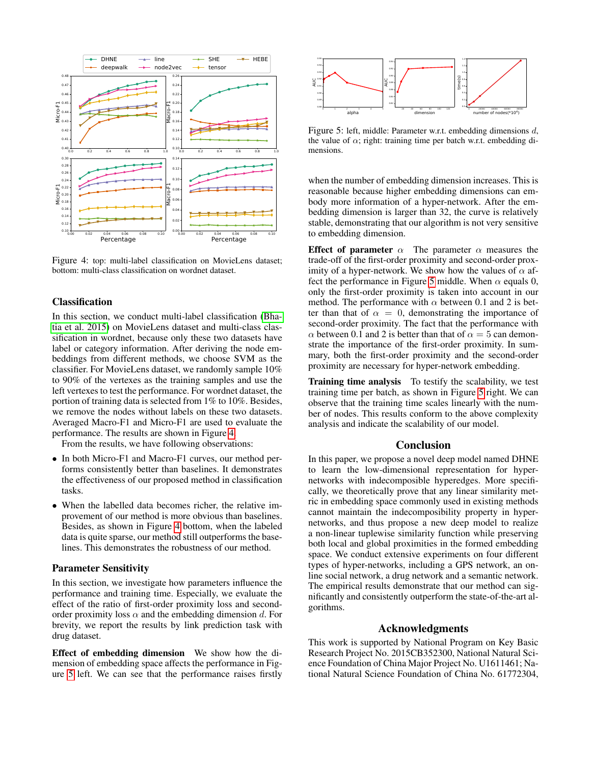<span id="page-6-0"></span>

Figure 4: top: multi-label classification on MovieLens dataset; bottom: multi-class classification on wordnet dataset.

# Classification

In this section, we conduct multi-label classification [\(Bha](#page-7-25)[tia et al. 2015\)](#page-7-25) on MovieLens dataset and multi-class classification in wordnet, because only these two datasets have label or category information. After deriving the node embeddings from different methods, we choose SVM as the classifier. For MovieLens dataset, we randomly sample 10% to 90% of the vertexes as the training samples and use the left vertexes to test the performance. For wordnet dataset, the portion of training data is selected from 1% to 10%. Besides, we remove the nodes without labels on these two datasets. Averaged Macro-F1 and Micro-F1 are used to evaluate the performance. The results are shown in Figure [4.](#page-6-0)

From the results, we have following observations:

- In both Micro-F1 and Macro-F1 curves, our method performs consistently better than baselines. It demonstrates the effectiveness of our proposed method in classification tasks.
- When the labelled data becomes richer, the relative improvement of our method is more obvious than baselines. Besides, as shown in Figure [4](#page-6-0) bottom, when the labeled data is quite sparse, our method still outperforms the baselines. This demonstrates the robustness of our method.

# Parameter Sensitivity

In this section, we investigate how parameters influence the performance and training time. Especially, we evaluate the effect of the ratio of first-order proximity loss and secondorder proximity loss  $\alpha$  and the embedding dimension d. For brevity, we report the results by link prediction task with drug dataset.

Effect of embedding dimension We show how the dimension of embedding space affects the performance in Figure [5](#page-6-1) left. We can see that the performance raises firstly

<span id="page-6-1"></span>

Figure 5: left, middle: Parameter w.r.t. embedding dimensions d, the value of  $\alpha$ ; right: training time per batch w.r.t. embedding dimensions.

when the number of embedding dimension increases. This is reasonable because higher embedding dimensions can embody more information of a hyper-network. After the embedding dimension is larger than 32, the curve is relatively stable, demonstrating that our algorithm is not very sensitive to embedding dimension.

Effect of parameter  $\alpha$  The parameter  $\alpha$  measures the trade-off of the first-order proximity and second-order proximity of a hyper-network. We show how the values of  $\alpha$  af-fect the performance in Figure [5](#page-6-1) middle. When  $\alpha$  equals 0, only the first-order proximity is taken into account in our method. The performance with  $\alpha$  between 0.1 and 2 is better than that of  $\alpha = 0$ , demonstrating the importance of second-order proximity. The fact that the performance with  $\alpha$  between 0.1 and 2 is better than that of  $\alpha = 5$  can demonstrate the importance of the first-order proximity. In summary, both the first-order proximity and the second-order proximity are necessary for hyper-network embedding.

Training time analysis To testify the scalability, we test training time per batch, as shown in Figure [5](#page-6-1) right. We can observe that the training time scales linearly with the number of nodes. This results conform to the above complexity analysis and indicate the scalability of our model.

### Conclusion

In this paper, we propose a novel deep model named DHNE to learn the low-dimensional representation for hypernetworks with indecomposible hyperedges. More specifically, we theoretically prove that any linear similarity metric in embedding space commonly used in existing methods cannot maintain the indecomposibility property in hypernetworks, and thus propose a new deep model to realize a non-linear tuplewise similarity function while preserving both local and global proximities in the formed embedding space. We conduct extensive experiments on four different types of hyper-networks, including a GPS network, an online social network, a drug network and a semantic network. The empirical results demonstrate that our method can significantly and consistently outperform the state-of-the-art algorithms.

#### Acknowledgments

This work is supported by National Program on Key Basic Research Project No. 2015CB352300, National Natural Science Foundation of China Major Project No. U1611461; National Natural Science Foundation of China No. 61772304,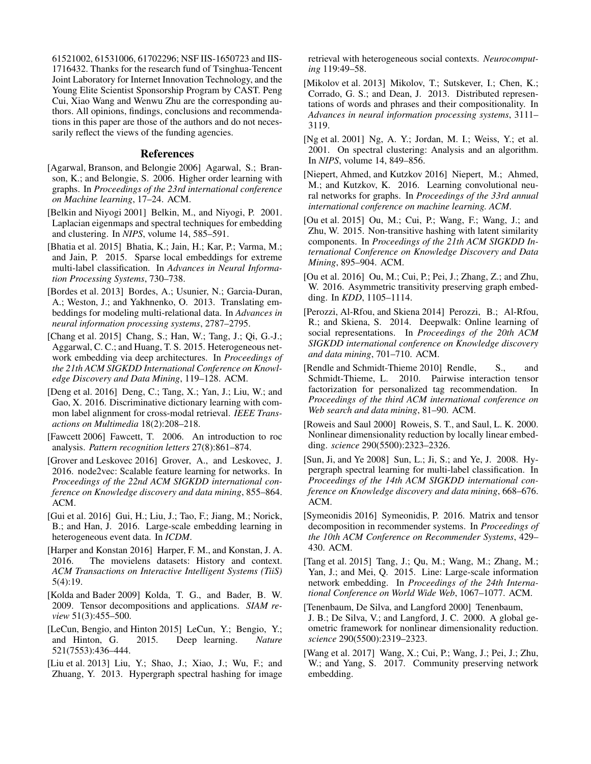61521002, 61531006, 61702296; NSF IIS-1650723 and IIS-1716432. Thanks for the research fund of Tsinghua-Tencent Joint Laboratory for Internet Innovation Technology, and the Young Elite Scientist Sponsorship Program by CAST. Peng Cui, Xiao Wang and Wenwu Zhu are the corresponding authors. All opinions, findings, conclusions and recommendations in this paper are those of the authors and do not necessarily reflect the views of the funding agencies.

### References

- <span id="page-7-4"></span>[Agarwal, Branson, and Belongie 2006] Agarwal, S.; Branson, K.; and Belongie, S. 2006. Higher order learning with graphs. In *Proceedings of the 23rd international conference on Machine learning*, 17–24. ACM.
- <span id="page-7-6"></span>[Belkin and Niyogi 2001] Belkin, M., and Niyogi, P. 2001. Laplacian eigenmaps and spectral techniques for embedding and clustering. In *NIPS*, volume 14, 585–591.
- <span id="page-7-25"></span>[Bhatia et al. 2015] Bhatia, K.; Jain, H.; Kar, P.; Varma, M.; and Jain, P. 2015. Sparse local embeddings for extreme multi-label classification. In *Advances in Neural Information Processing Systems*, 730–738.
- <span id="page-7-22"></span>[Bordes et al. 2013] Bordes, A.; Usunier, N.; Garcia-Duran, A.; Weston, J.; and Yakhnenko, O. 2013. Translating embeddings for modeling multi-relational data. In *Advances in neural information processing systems*, 2787–2795.
- <span id="page-7-12"></span>[Chang et al. 2015] Chang, S.; Han, W.; Tang, J.; Qi, G.-J.; Aggarwal, C. C.; and Huang, T. S. 2015. Heterogeneous network embedding via deep architectures. In *Proceedings of the 21th ACM SIGKDD International Conference on Knowledge Discovery and Data Mining*, 119–128. ACM.
- <span id="page-7-1"></span>[Deng et al. 2016] Deng, C.; Tang, X.; Yan, J.; Liu, W.; and Gao, X. 2016. Discriminative dictionary learning with common label alignment for cross-modal retrieval. *IEEE Transactions on Multimedia* 18(2):208–218.
- <span id="page-7-24"></span>[Fawcett 2006] Fawcett, T. 2006. An introduction to roc analysis. *Pattern recognition letters* 27(8):861–874.
- <span id="page-7-23"></span>[Grover and Leskovec 2016] Grover, A., and Leskovec, J. 2016. node2vec: Scalable feature learning for networks. In *Proceedings of the 22nd ACM SIGKDD international conference on Knowledge discovery and data mining*, 855–864. ACM.
- <span id="page-7-18"></span>[Gui et al. 2016] Gui, H.; Liu, J.; Tao, F.; Jiang, M.; Norick, B.; and Han, J. 2016. Large-scale embedding learning in heterogeneous event data. In *ICDM*.
- <span id="page-7-21"></span>[Harper and Konstan 2016] Harper, F. M., and Konstan, J. A. 2016. The movielens datasets: History and context. *ACM Transactions on Interactive Intelligent Systems (TiiS)* 5(4):19.
- <span id="page-7-15"></span>[Kolda and Bader 2009] Kolda, T. G., and Bader, B. W. 2009. Tensor decompositions and applications. *SIAM review* 51(3):455–500.
- <span id="page-7-19"></span>[LeCun, Bengio, and Hinton 2015] LeCun, Y.; Bengio, Y.; and Hinton, G. 2015. Deep learning. *Nature* 521(7553):436–444.
- <span id="page-7-13"></span>[Liu et al. 2013] Liu, Y.; Shao, J.; Xiao, J.; Wu, F.; and Zhuang, Y. 2013. Hypergraph spectral hashing for image

retrieval with heterogeneous social contexts. *Neurocomputing* 119:49–58.

- <span id="page-7-20"></span>[Mikolov et al. 2013] Mikolov, T.; Sutskever, I.; Chen, K.; Corrado, G. S.; and Dean, J. 2013. Distributed representations of words and phrases and their compositionality. In *Advances in neural information processing systems*, 3111– 3119.
- <span id="page-7-14"></span>[Ng et al. 2001] Ng, A. Y.; Jordan, M. I.; Weiss, Y.; et al. 2001. On spectral clustering: Analysis and an algorithm. In *NIPS*, volume 14, 849–856.
- <span id="page-7-11"></span>[Niepert, Ahmed, and Kutzkov 2016] Niepert, M.; Ahmed, M.; and Kutzkov, K. 2016. Learning convolutional neural networks for graphs. In *Proceedings of the 33rd annual international conference on machine learning. ACM*.
- <span id="page-7-2"></span>[Ou et al. 2015] Ou, M.; Cui, P.; Wang, F.; Wang, J.; and Zhu, W. 2015. Non-transitive hashing with latent similarity components. In *Proceedings of the 21th ACM SIGKDD International Conference on Knowledge Discovery and Data Mining*, 895–904. ACM.
- <span id="page-7-9"></span>[Ou et al. 2016] Ou, M.; Cui, P.; Pei, J.; Zhang, Z.; and Zhu, W. 2016. Asymmetric transitivity preserving graph embedding. In *KDD*, 1105–1114.
- <span id="page-7-8"></span>[Perozzi, Al-Rfou, and Skiena 2014] Perozzi, B.; Al-Rfou, R.; and Skiena, S. 2014. Deepwalk: Online learning of social representations. In *Proceedings of the 20th ACM SIGKDD international conference on Knowledge discovery and data mining*, 701–710. ACM.
- <span id="page-7-16"></span>[Rendle and Schmidt-Thieme 2010] Rendle, S., and Schmidt-Thieme, L. 2010. Pairwise interaction tensor factorization for personalized tag recommendation. In *Proceedings of the third ACM international conference on Web search and data mining*, 81–90. ACM.
- <span id="page-7-5"></span>[Roweis and Saul 2000] Roweis, S. T., and Saul, L. K. 2000. Nonlinear dimensionality reduction by locally linear embedding. *science* 290(5500):2323–2326.
- <span id="page-7-3"></span>[Sun, Ji, and Ye 2008] Sun, L.; Ji, S.; and Ye, J. 2008. Hypergraph spectral learning for multi-label classification. In *Proceedings of the 14th ACM SIGKDD international conference on Knowledge discovery and data mining*, 668–676. ACM.
- <span id="page-7-17"></span>[Symeonidis 2016] Symeonidis, P. 2016. Matrix and tensor decomposition in recommender systems. In *Proceedings of the 10th ACM Conference on Recommender Systems*, 429– 430. ACM.
- <span id="page-7-0"></span>[Tang et al. 2015] Tang, J.; Qu, M.; Wang, M.; Zhang, M.; Yan, J.; and Mei, Q. 2015. Line: Large-scale information network embedding. In *Proceedings of the 24th International Conference on World Wide Web*, 1067–1077. ACM.
- <span id="page-7-7"></span>[Tenenbaum, De Silva, and Langford 2000] Tenenbaum, J. B.; De Silva, V.; and Langford, J. C. 2000. A global geometric framework for nonlinear dimensionality reduction. *science* 290(5500):2319–2323.
- <span id="page-7-10"></span>[Wang et al. 2017] Wang, X.; Cui, P.; Wang, J.; Pei, J.; Zhu, W.; and Yang, S. 2017. Community preserving network embedding.